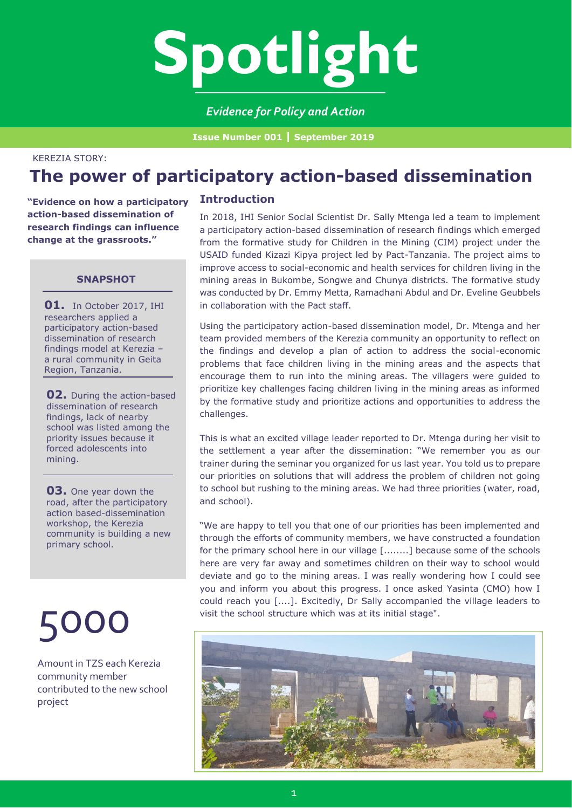# **Spotlight**

*Evidence for Policy and Action*

**Issue Number 001 | September 2019**

KEREZIA STORY:

### **The power of participatory action-based dissemination**

**"Evidence on how a participatory action-based dissemination of research findings can influence change at the grassroots."**

#### **SNAPSHOT**

**01.** In October 2017, IHI researchers applied a participatory action-based dissemination of research findings model at Kerezia – a rural community in Geita Region, Tanzania.

**02.** During the action-based dissemination of research findings, lack of nearby school was listed among the priority issues because it forced adolescents into mining.

**03.** One year down the road, after the participatory action based-dissemination workshop, the Kerezia community is building a new primary school.

## 5000

Amount in TZS each Kerezia community member contributed to the new school project

#### **Introduction**

In 2018, IHI Senior Social Scientist Dr. Sally Mtenga led a team to implement a participatory action-based dissemination of research findings which emerged from the formative study for Children in the Mining (CIM) project under the USAID funded Kizazi Kipya project led by Pact-Tanzania. The project aims to improve access to social-economic and health services for children living in the mining areas in Bukombe, Songwe and Chunya districts. The formative study was conducted by Dr. Emmy Metta, Ramadhani Abdul and Dr. Eveline Geubbels in collaboration with the Pact staff.

Using the participatory action-based dissemination model, Dr. Mtenga and her team provided members of the Kerezia community an opportunity to reflect on the findings and develop a plan of action to address the social-economic problems that face children living in the mining areas and the aspects that encourage them to run into the mining areas. The villagers were guided to prioritize key challenges facing children living in the mining areas as informed by the formative study and prioritize actions and opportunities to address the challenges.

This is what an excited village leader reported to Dr. Mtenga during her visit to the settlement a year after the dissemination: "We remember you as our trainer during the seminar you organized for us last year. You told us to prepare our priorities on solutions that will address the problem of children not going to school but rushing to the mining areas. We had three priorities (water, road, and school).

"We are happy to tell you that one of our priorities has been implemented and through the efforts of community members, we have constructed a foundation for the primary school here in our village [........] because some of the schools here are very far away and sometimes children on their way to school would deviate and go to the mining areas. I was really wondering how I could see you and inform you about this progress. I once asked Yasinta (CMO) how I could reach you [....]. Excitedly, Dr Sally accompanied the village leaders to visit the school structure which was at its initial stage".